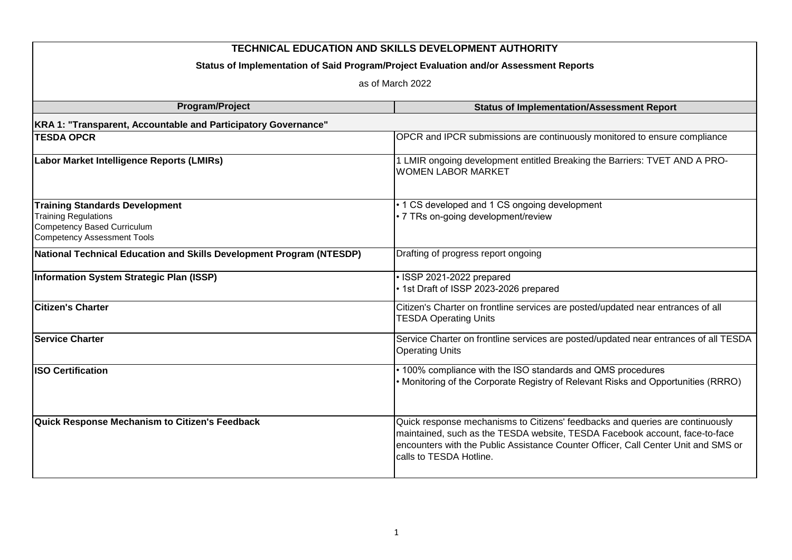| <b>TECHNICAL EDUCATION AND SKILLS DEVELOPMENT AUTHORITY</b><br>Status of Implementation of Said Program/Project Evaluation and/or Assessment Reports<br>as of March 2022 |                                                                                                                                                                                                                                                                               |  |                        |                                                   |
|--------------------------------------------------------------------------------------------------------------------------------------------------------------------------|-------------------------------------------------------------------------------------------------------------------------------------------------------------------------------------------------------------------------------------------------------------------------------|--|------------------------|---------------------------------------------------|
|                                                                                                                                                                          |                                                                                                                                                                                                                                                                               |  | <b>Program/Project</b> | <b>Status of Implementation/Assessment Report</b> |
|                                                                                                                                                                          |                                                                                                                                                                                                                                                                               |  |                        |                                                   |
| KRA 1: "Transparent, Accountable and Participatory Governance"<br><b>TESDA OPCR</b>                                                                                      | OPCR and IPCR submissions are continuously monitored to ensure compliance                                                                                                                                                                                                     |  |                        |                                                   |
|                                                                                                                                                                          |                                                                                                                                                                                                                                                                               |  |                        |                                                   |
| Labor Market Intelligence Reports (LMIRs)                                                                                                                                | 1 LMIR ongoing development entitled Breaking the Barriers: TVET AND A PRO-<br><b>WOMEN LABOR MARKET</b>                                                                                                                                                                       |  |                        |                                                   |
| <b>Training Standards Development</b><br><b>Training Regulations</b><br>Competency Based Curriculum<br><b>Competency Assessment Tools</b>                                | • 1 CS developed and 1 CS ongoing development<br>• 7 TRs on-going development/review                                                                                                                                                                                          |  |                        |                                                   |
| National Technical Education and Skills Development Program (NTESDP)                                                                                                     | Drafting of progress report ongoing                                                                                                                                                                                                                                           |  |                        |                                                   |
| Information System Strategic Plan (ISSP)                                                                                                                                 | · ISSP 2021-2022 prepared<br>• 1st Draft of ISSP 2023-2026 prepared                                                                                                                                                                                                           |  |                        |                                                   |
| <b>Citizen's Charter</b>                                                                                                                                                 | Citizen's Charter on frontline services are posted/updated near entrances of all<br><b>TESDA Operating Units</b>                                                                                                                                                              |  |                        |                                                   |
| <b>Service Charter</b>                                                                                                                                                   | Service Charter on frontline services are posted/updated near entrances of all TESDA<br><b>Operating Units</b>                                                                                                                                                                |  |                        |                                                   |
| <b>ISO Certification</b>                                                                                                                                                 | • 100% compliance with the ISO standards and QMS procedures<br>• Monitoring of the Corporate Registry of Relevant Risks and Opportunities (RRRO)                                                                                                                              |  |                        |                                                   |
| Quick Response Mechanism to Citizen's Feedback                                                                                                                           | Quick response mechanisms to Citizens' feedbacks and queries are continuously<br>maintained, such as the TESDA website, TESDA Facebook account, face-to-face<br>encounters with the Public Assistance Counter Officer, Call Center Unit and SMS or<br>calls to TESDA Hotline. |  |                        |                                                   |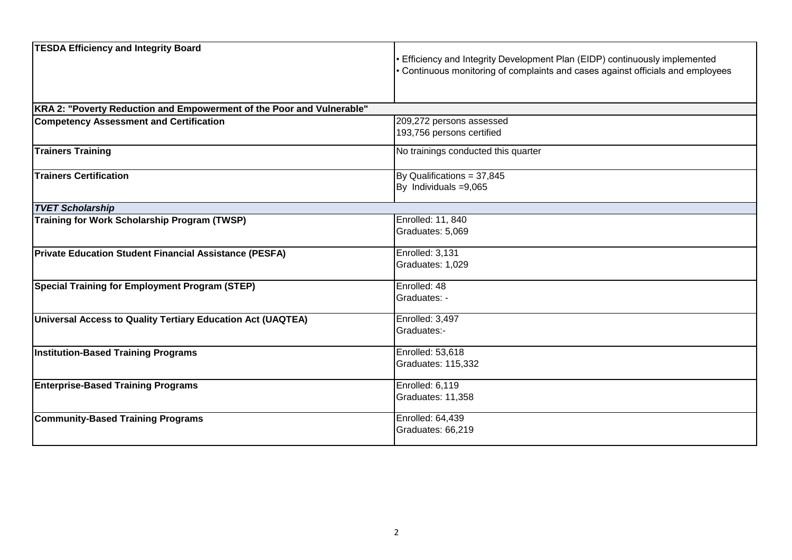| <b>TESDA Efficiency and Integrity Board</b>                           | Efficiency and Integrity Development Plan (EIDP) continuously implemented<br>• Continuous monitoring of complaints and cases against officials and employees |  |
|-----------------------------------------------------------------------|--------------------------------------------------------------------------------------------------------------------------------------------------------------|--|
| KRA 2: "Poverty Reduction and Empowerment of the Poor and Vulnerable" |                                                                                                                                                              |  |
| <b>Competency Assessment and Certification</b>                        | 209,272 persons assessed<br>193,756 persons certified                                                                                                        |  |
| <b>Trainers Training</b>                                              | No trainings conducted this quarter                                                                                                                          |  |
| <b>Trainers Certification</b>                                         | By Qualifications = 37,845<br>By Individuals = 9,065                                                                                                         |  |
| <b>TVET Scholarship</b>                                               |                                                                                                                                                              |  |
| <b>Training for Work Scholarship Program (TWSP)</b>                   | Enrolled: 11, 840<br>Graduates: 5,069                                                                                                                        |  |
| <b>Private Education Student Financial Assistance (PESFA)</b>         | Enrolled: 3,131<br>Graduates: 1,029                                                                                                                          |  |
| <b>Special Training for Employment Program (STEP)</b>                 | Enrolled: 48<br>Graduates: -                                                                                                                                 |  |
| Universal Access to Quality Tertiary Education Act (UAQTEA)           | Enrolled: 3,497<br>Graduates:-                                                                                                                               |  |
| <b>Institution-Based Training Programs</b>                            | Enrolled: 53,618<br><b>Graduates: 115,332</b>                                                                                                                |  |
| <b>Enterprise-Based Training Programs</b>                             | Enrolled: 6,119<br>Graduates: 11,358                                                                                                                         |  |
| <b>Community-Based Training Programs</b>                              | Enrolled: 64,439<br>Graduates: 66,219                                                                                                                        |  |